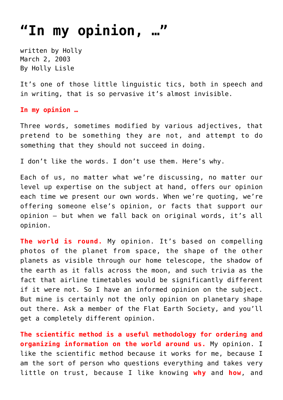## **["In my opinion, …"](https://hollylisle.com/in-my-opinion/)**

written by Holly March 2, 2003 [By Holly Lisle](https://hollylisle.com)

It's one of those little linguistic tics, both in speech and in writing, that is so pervasive it's almost invisible.

## **In my opinion …**

Three words, sometimes modified by various adjectives, that pretend to be something they are not, and attempt to do something that they should not succeed in doing.

I don't like the words. I don't use them. Here's why.

Each of us, no matter what we're discussing, no matter our level up expertise on the subject at hand, offers our opinion each time we present our own words. When we're quoting, we're offering someone else's opinion, or facts that support our opinion — but when we fall back on original words, it's all opinion.

**The world is round.** My opinion. It's based on compelling photos of the planet from space, the shape of the other planets as visible through our home telescope, the shadow of the earth as it falls across the moon, and such trivia as the fact that airline timetables would be significantly different if it were not. So I have an informed opinion on the subject. But mine is certainly not the only opinion on planetary shape out there. Ask a member of the Flat Earth Society, and you'll get a completely different opinion.

**The scientific method is a useful methodology for ordering and organizing information on the world around us.** My opinion. I like the scientific method because it works for me, because I am the sort of person who questions everything and takes very little on trust, because I like knowing **why** and **how**, and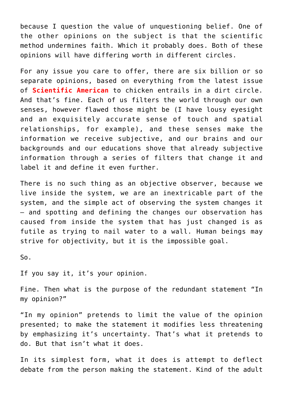because I question the value of unquestioning belief. One of the other opinions on the subject is that the scientific method undermines faith. Which it probably does. Both of these opinions will have differing worth in different circles.

For any issue you care to offer, there are six billion or so separate opinions, based on everything from the latest issue of **Scientific American** to chicken entrails in a dirt circle. And that's fine. Each of us filters the world through our own senses, however flawed those might be (I have lousy eyesight and an exquisitely accurate sense of touch and spatial relationships, for example), and these senses make the information we receive subjective, and our brains and our backgrounds and our educations shove that already subjective information through a series of filters that change it and label it and define it even further.

There is no such thing as an objective observer, because we live inside the system, we are an inextricable part of the system, and the simple act of observing the system changes it — and spotting and defining the changes our observation has caused from inside the system that has just changed is as futile as trying to nail water to a wall. Human beings may strive for objectivity, but it is the impossible goal.

So.

If you say it, it's your opinion.

Fine. Then what is the purpose of the redundant statement "In my opinion?"

"In my opinion" pretends to limit the value of the opinion presented; to make the statement it modifies less threatening by emphasizing it's uncertainty. That's what it pretends to do. But that isn't what it does.

In its simplest form, what it does is attempt to deflect debate from the person making the statement. Kind of the adult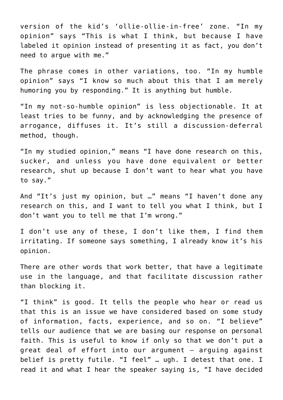version of the kid's 'ollie-ollie-in-free' zone. "In my opinion" says "This is what I think, but because I have labeled it opinion instead of presenting it as fact, you don't need to arque with me."

The phrase comes in other variations, too. "In my humble opinion" says "I know so much about this that I am merely humoring you by responding." It is anything but humble.

"In my not-so-humble opinion" is less objectionable. It at least tries to be funny, and by acknowledging the presence of arrogance, diffuses it. It's still a discussion-deferral method, though.

"In my studied opinion," means "I have done research on this, sucker, and unless you have done equivalent or better research, shut up because I don't want to hear what you have to say."

And "It's just my opinion, but …" means "I haven't done any research on this, and I want to tell you what I think, but I don't want you to tell me that I'm wrong."

I don't use any of these, I don't like them, I find them irritating. If someone says something, I already know it's his opinion.

There are other words that work better, that have a legitimate use in the language, and that facilitate discussion rather than blocking it.

"I think" is good. It tells the people who hear or read us that this is an issue we have considered based on some study of information, facts, experience, and so on. "I believe" tells our audience that we are basing our response on personal faith. This is useful to know if only so that we don't put a great deal of effort into our argument — arguing against belief is pretty futile. "I feel" … ugh. I detest that one. I read it and what I hear the speaker saying is, "I have decided